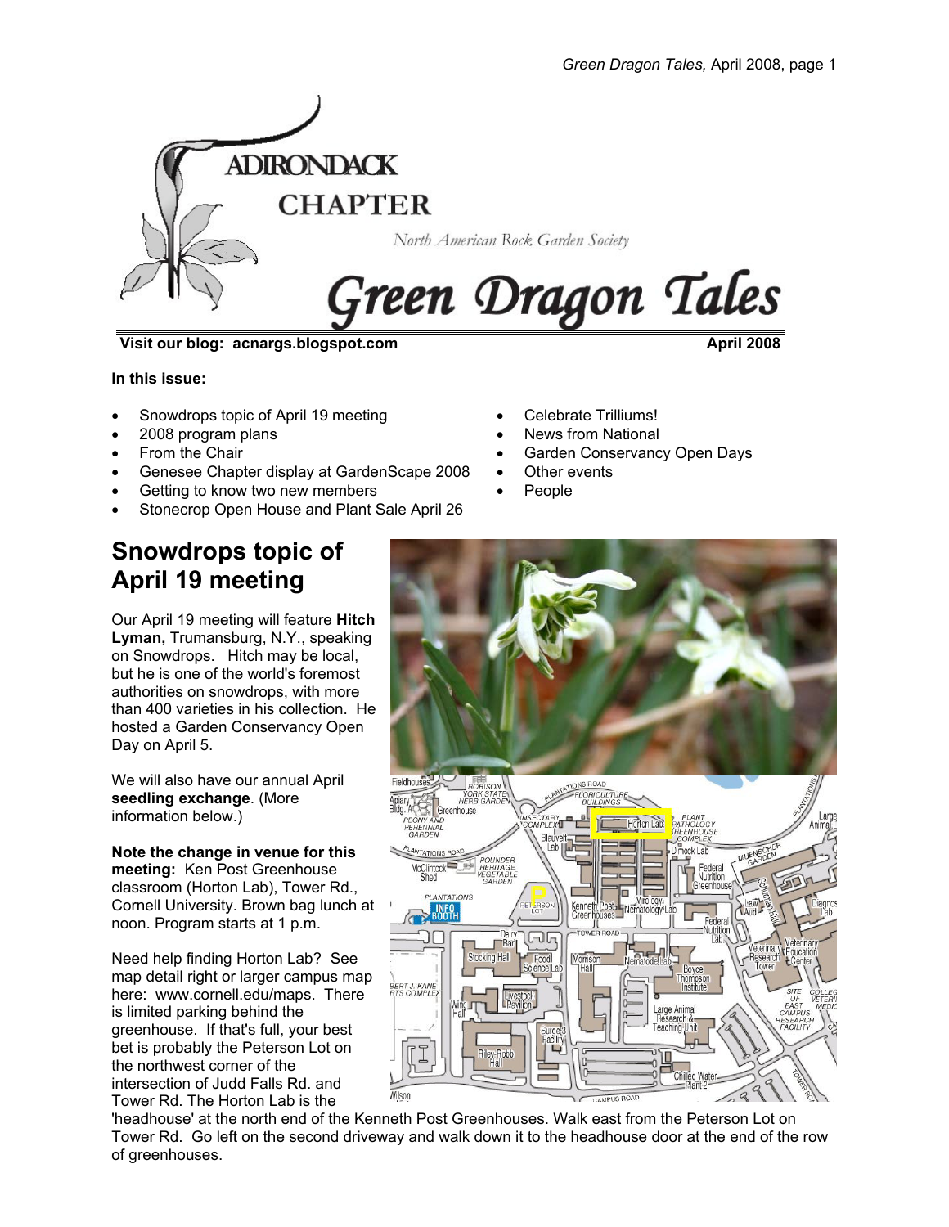

**Visit our blog: acnargs.blogspot.com April 2008**

**In this issue:** 

- Snowdrops topic of April 19 meeting
- 2008 program plans
- From the Chair
- Genesee Chapter display at GardenScape 2008
- Getting to know two new members
- Stonecrop Open House and Plant Sale April 26
- News from National

• Celebrate Trilliums!

- Garden Conservancy Open Days
- Other events
- People

# **Snowdrops topic of April 19 meeting**

Our April 19 meeting will feature **Hitch Lyman,** Trumansburg, N.Y., speaking on Snowdrops. Hitch may be local, but he is one of the world's foremost authorities on snowdrops, with more than 400 varieties in his collection. He hosted a Garden Conservancy Open Day on April 5.

We will also have our annual April **seedling exchange**. (More information below.)

**Note the change in venue for this meeting:** Ken Post Greenhouse classroom (Horton Lab), Tower Rd., Cornell University. Brown bag lunch at noon. Program starts at 1 p.m.

Need help finding Horton Lab? See map detail right or larger campus map here: www.cornell.edu/maps. There is limited parking behind the greenhouse. If that's full, your best bet is probably the Peterson Lot on the northwest corner of the intersection of Judd Falls Rd. and Tower Rd. The Horton Lab is the



'headhouse' at the north end of the Kenneth Post Greenhouses. Walk east from the Peterson Lot on Tower Rd. Go left on the second driveway and walk down it to the headhouse door at the end of the row of greenhouses.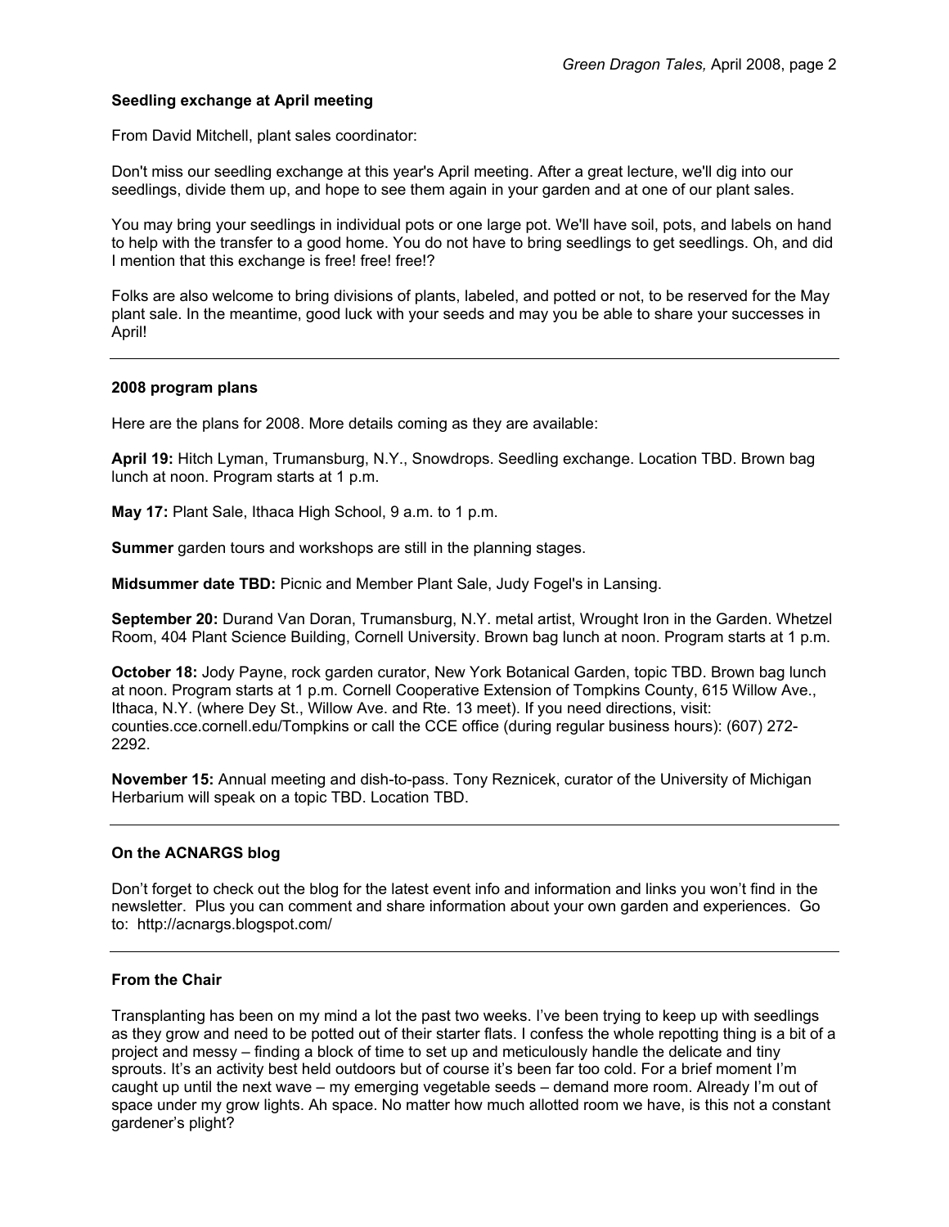## **Seedling exchange at April meeting**

From David Mitchell, plant sales coordinator:

Don't miss our seedling exchange at this year's April meeting. After a great lecture, we'll dig into our seedlings, divide them up, and hope to see them again in your garden and at one of our plant sales.

You may bring your seedlings in individual pots or one large pot. We'll have soil, pots, and labels on hand to help with the transfer to a good home. You do not have to bring seedlings to get seedlings. Oh, and did I mention that this exchange is free! free! free!?

Folks are also welcome to bring divisions of plants, labeled, and potted or not, to be reserved for the May plant sale. In the meantime, good luck with your seeds and may you be able to share your successes in April!

#### **2008 program plans**

Here are the plans for 2008. More details coming as they are available:

**April 19:** Hitch Lyman, Trumansburg, N.Y., Snowdrops. Seedling exchange. Location TBD. Brown bag lunch at noon. Program starts at 1 p.m.

**May 17:** Plant Sale, Ithaca High School, 9 a.m. to 1 p.m.

**Summer** garden tours and workshops are still in the planning stages.

**Midsummer date TBD:** Picnic and Member Plant Sale, Judy Fogel's in Lansing.

**September 20:** Durand Van Doran, Trumansburg, N.Y. metal artist, Wrought Iron in the Garden. Whetzel Room, 404 Plant Science Building, Cornell University. Brown bag lunch at noon. Program starts at 1 p.m.

**October 18:** Jody Payne, rock garden curator, New York Botanical Garden, topic TBD. Brown bag lunch at noon. Program starts at 1 p.m. Cornell Cooperative Extension of Tompkins County, 615 Willow Ave., Ithaca, N.Y. (where Dey St., Willow Ave. and Rte. 13 meet). If you need directions, visit: counties.cce.cornell.edu/Tompkins or call the CCE office (during regular business hours): (607) 272- 2292.

**November 15:** Annual meeting and dish-to-pass. Tony Reznicek, curator of the University of Michigan Herbarium will speak on a topic TBD. Location TBD.

#### **On the ACNARGS blog**

Don't forget to check out the blog for the latest event info and information and links you won't find in the newsletter. Plus you can comment and share information about your own garden and experiences. Go to: http://acnargs.blogspot.com/

## **From the Chair**

Transplanting has been on my mind a lot the past two weeks. I've been trying to keep up with seedlings as they grow and need to be potted out of their starter flats. I confess the whole repotting thing is a bit of a project and messy – finding a block of time to set up and meticulously handle the delicate and tiny sprouts. It's an activity best held outdoors but of course it's been far too cold. For a brief moment I'm caught up until the next wave – my emerging vegetable seeds – demand more room. Already I'm out of space under my grow lights. Ah space. No matter how much allotted room we have, is this not a constant gardener's plight?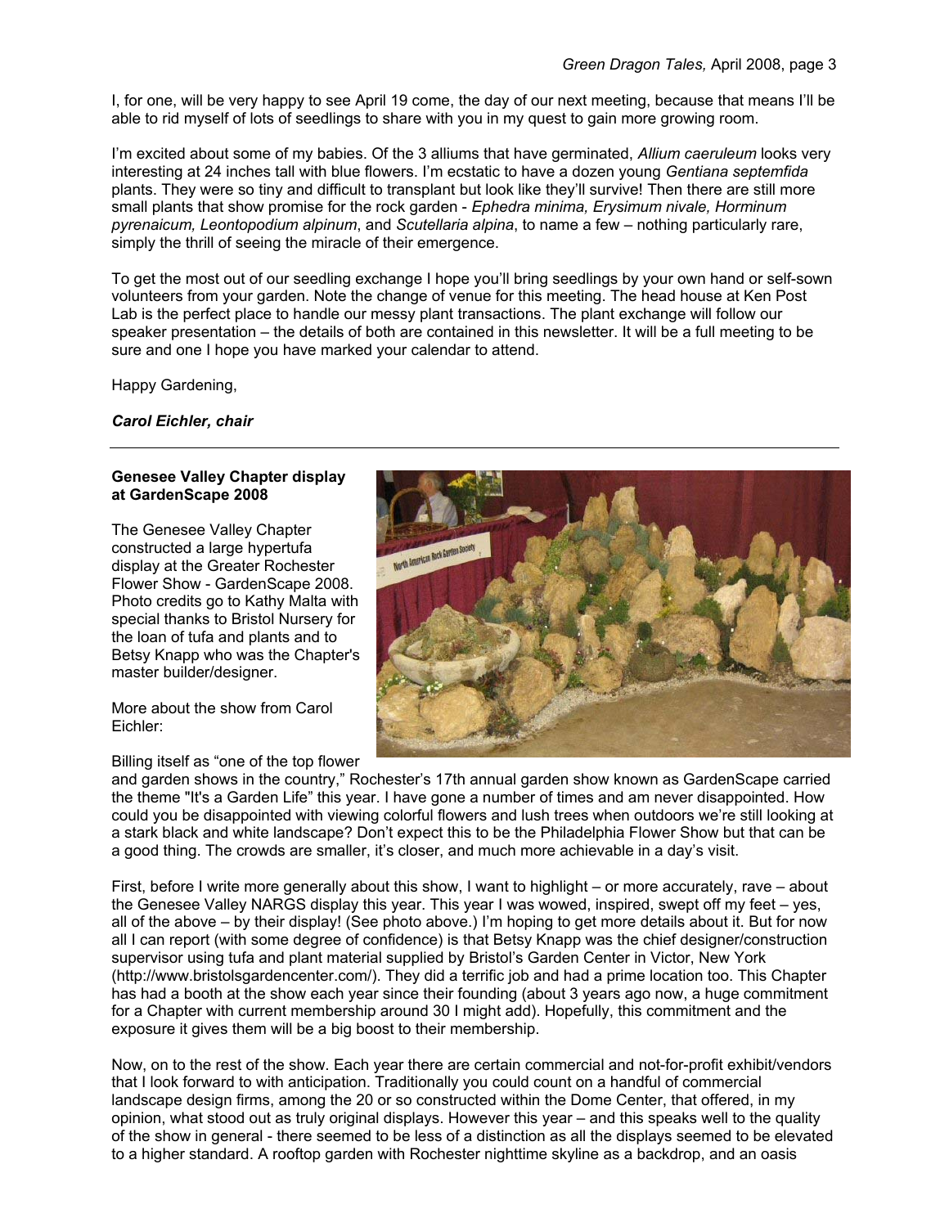I, for one, will be very happy to see April 19 come, the day of our next meeting, because that means I'll be able to rid myself of lots of seedlings to share with you in my quest to gain more growing room.

I'm excited about some of my babies. Of the 3 alliums that have germinated, *Allium caeruleum* looks very interesting at 24 inches tall with blue flowers. I'm ecstatic to have a dozen young *Gentiana septemfida* plants. They were so tiny and difficult to transplant but look like they'll survive! Then there are still more small plants that show promise for the rock garden - *Ephedra minima, Erysimum nivale, Horminum pyrenaicum, Leontopodium alpinum*, and *Scutellaria alpina*, to name a few – nothing particularly rare, simply the thrill of seeing the miracle of their emergence.

To get the most out of our seedling exchange I hope you'll bring seedlings by your own hand or self-sown volunteers from your garden. Note the change of venue for this meeting. The head house at Ken Post Lab is the perfect place to handle our messy plant transactions. The plant exchange will follow our speaker presentation – the details of both are contained in this newsletter. It will be a full meeting to be sure and one I hope you have marked your calendar to attend.

Happy Gardening,

*Carol Eichler, chair* 

#### **Genesee Valley Chapter display at GardenScape 2008**

The Genesee Valley Chapter constructed a large hypertufa display at the Greater Rochester Flower Show - GardenScape 2008. Photo credits go to Kathy Malta with special thanks to Bristol Nursery for the loan of tufa and plants and to Betsy Knapp who was the Chapter's master builder/designer.

More about the show from Carol Eichler:

#### Billing itself as "one of the top flower



and garden shows in the country," Rochester's 17th annual garden show known as GardenScape carried the theme "It's a Garden Life" this year. I have gone a number of times and am never disappointed. How could you be disappointed with viewing colorful flowers and lush trees when outdoors we're still looking at a stark black and white landscape? Don't expect this to be the Philadelphia Flower Show but that can be a good thing. The crowds are smaller, it's closer, and much more achievable in a day's visit.

First, before I write more generally about this show, I want to highlight – or more accurately, rave – about the Genesee Valley NARGS display this year. This year I was wowed, inspired, swept off my feet – yes, all of the above – by their display! (See photo above.) I'm hoping to get more details about it. But for now all I can report (with some degree of confidence) is that Betsy Knapp was the chief designer/construction supervisor using tufa and plant material supplied by Bristol's Garden Center in Victor, New York (http://www.bristolsgardencenter.com/). They did a terrific job and had a prime location too. This Chapter has had a booth at the show each year since their founding (about 3 years ago now, a huge commitment for a Chapter with current membership around 30 I might add). Hopefully, this commitment and the exposure it gives them will be a big boost to their membership.

Now, on to the rest of the show. Each year there are certain commercial and not-for-profit exhibit/vendors that I look forward to with anticipation. Traditionally you could count on a handful of commercial landscape design firms, among the 20 or so constructed within the Dome Center, that offered, in my opinion, what stood out as truly original displays. However this year – and this speaks well to the quality of the show in general - there seemed to be less of a distinction as all the displays seemed to be elevated to a higher standard. A rooftop garden with Rochester nighttime skyline as a backdrop, and an oasis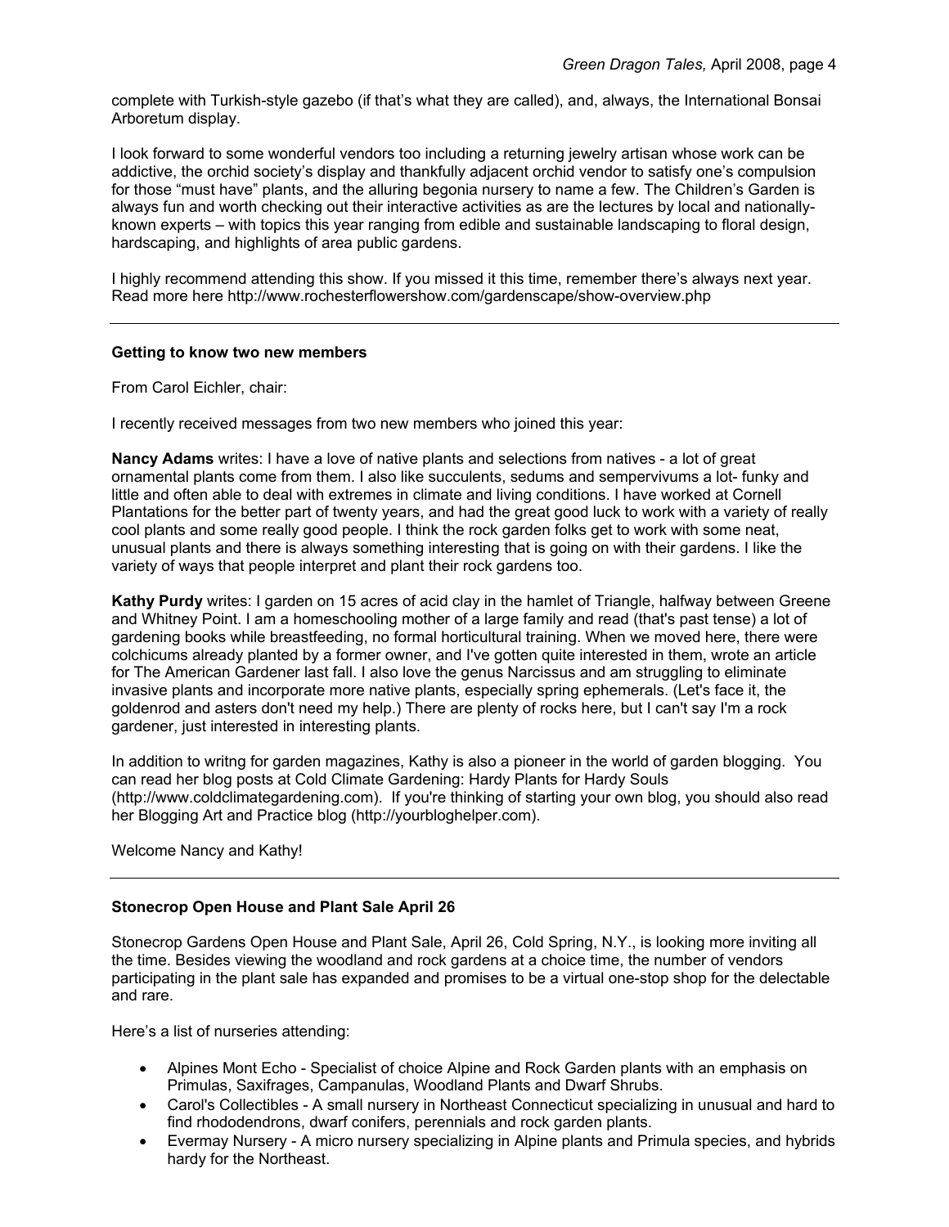complete with Turkish-style gazebo (if that's what they are called), and, always, the International Bonsai Arboretum display.

I look forward to some wonderful vendors too including a returning jewelry artisan whose work can be addictive, the orchid society's display and thankfully adjacent orchid vendor to satisfy one's compulsion for those "must have" plants, and the alluring begonia nursery to name a few. The Children's Garden is always fun and worth checking out their interactive activities as are the lectures by local and nationallyknown experts – with topics this year ranging from edible and sustainable landscaping to floral design, hardscaping, and highlights of area public gardens.

I highly recommend attending this show. If you missed it this time, remember there's always next year. Read more here http://www.rochesterflowershow.com/gardenscape/show-overview.php

#### **Getting to know two new members**

From Carol Eichler, chair:

I recently received messages from two new members who joined this year:

**Nancy Adams** writes: I have a love of native plants and selections from natives - a lot of great ornamental plants come from them. I also like succulents, sedums and sempervivums a lot- funky and little and often able to deal with extremes in climate and living conditions. I have worked at Cornell Plantations for the better part of twenty years, and had the great good luck to work with a variety of really cool plants and some really good people. I think the rock garden folks get to work with some neat, unusual plants and there is always something interesting that is going on with their gardens. I like the variety of ways that people interpret and plant their rock gardens too.

**Kathy Purdy** writes: I garden on 15 acres of acid clay in the hamlet of Triangle, halfway between Greene and Whitney Point. I am a homeschooling mother of a large family and read (that's past tense) a lot of gardening books while breastfeeding, no formal horticultural training. When we moved here, there were colchicums already planted by a former owner, and I've gotten quite interested in them, wrote an article for The American Gardener last fall. I also love the genus Narcissus and am struggling to eliminate invasive plants and incorporate more native plants, especially spring ephemerals. (Let's face it, the goldenrod and asters don't need my help.) There are plenty of rocks here, but I can't say I'm a rock gardener, just interested in interesting plants.

In addition to writng for garden magazines, Kathy is also a pioneer in the world of garden blogging. You can read her blog posts at Cold Climate Gardening: Hardy Plants for Hardy Souls (http://www.coldclimategardening.com). If you're thinking of starting your own blog, you should also read her Blogging Art and Practice blog (http://yourbloghelper.com).

Welcome Nancy and Kathy!

#### **Stonecrop Open House and Plant Sale April 26**

Stonecrop Gardens Open House and Plant Sale, April 26, Cold Spring, N.Y., is looking more inviting all the time. Besides viewing the woodland and rock gardens at a choice time, the number of vendors participating in the plant sale has expanded and promises to be a virtual one-stop shop for the delectable and rare.

Here's a list of nurseries attending:

- Alpines Mont Echo Specialist of choice Alpine and Rock Garden plants with an emphasis on Primulas, Saxifrages, Campanulas, Woodland Plants and Dwarf Shrubs.
- Carol's Collectibles A small nursery in Northeast Connecticut specializing in unusual and hard to find rhododendrons, dwarf conifers, perennials and rock garden plants.
- Evermay Nursery A micro nursery specializing in Alpine plants and Primula species, and hybrids hardy for the Northeast.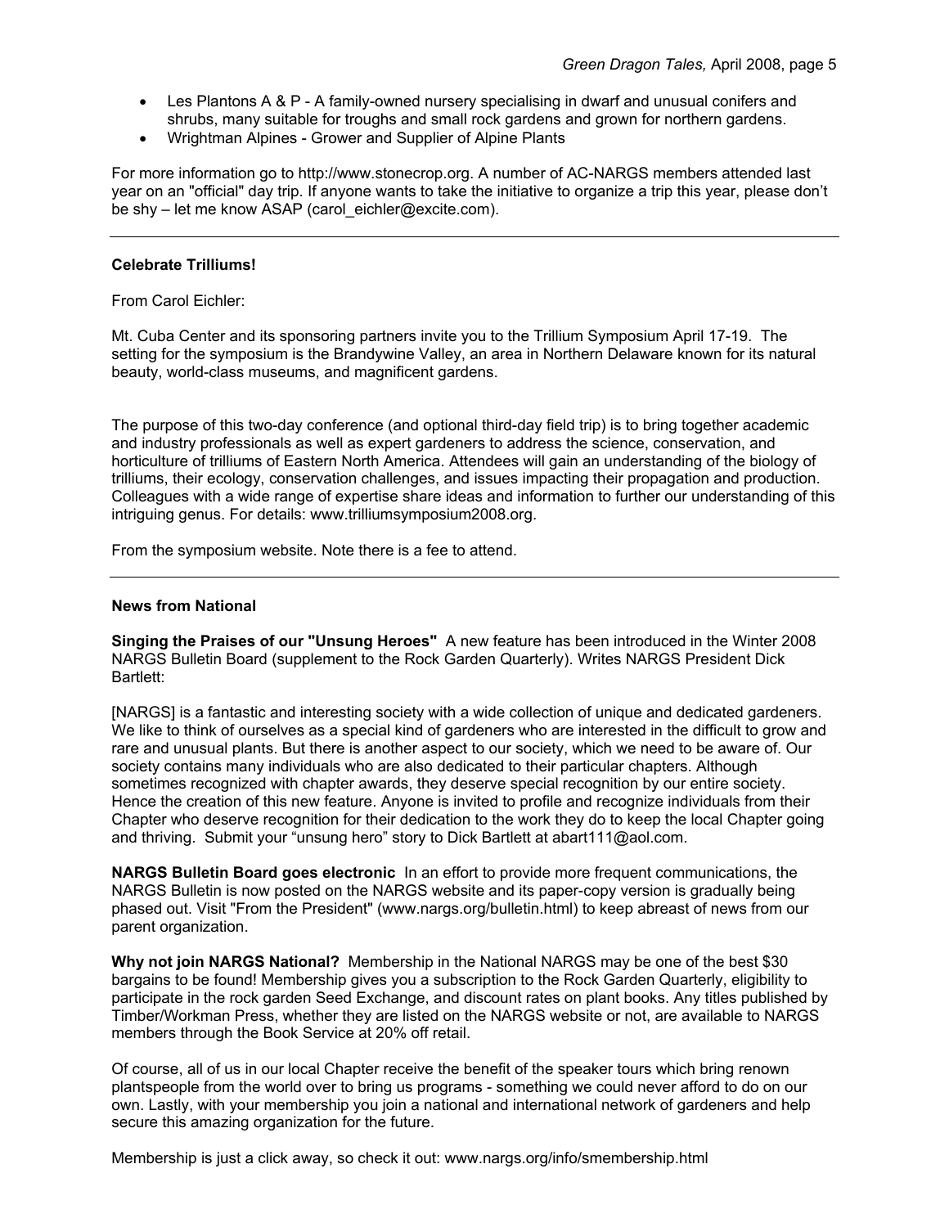- Les Plantons A & P A family-owned nursery specialising in dwarf and unusual conifers and shrubs, many suitable for troughs and small rock gardens and grown for northern gardens.
- Wrightman Alpines Grower and Supplier of Alpine Plants

For more information go to http://www.stonecrop.org. A number of AC-NARGS members attended last year on an "official" day trip. If anyone wants to take the initiative to organize a trip this year, please don't be shy – let me know ASAP (carol\_eichler@excite.com).

#### **Celebrate Trilliums!**

From Carol Eichler:

Mt. Cuba Center and its sponsoring partners invite you to the Trillium Symposium April 17-19. The setting for the symposium is the Brandywine Valley, an area in Northern Delaware known for its natural beauty, world-class museums, and magnificent gardens.

The purpose of this two-day conference (and optional third-day field trip) is to bring together academic and industry professionals as well as expert gardeners to address the science, conservation, and horticulture of trilliums of Eastern North America. Attendees will gain an understanding of the biology of trilliums, their ecology, conservation challenges, and issues impacting their propagation and production. Colleagues with a wide range of expertise share ideas and information to further our understanding of this intriguing genus. For details: www.trilliumsymposium2008.org.

From the symposium website. Note there is a fee to attend.

#### **News from National**

**Singing the Praises of our "Unsung Heroes"** A new feature has been introduced in the Winter 2008 NARGS Bulletin Board (supplement to the Rock Garden Quarterly). Writes NARGS President Dick Bartlett:

[NARGS] is a fantastic and interesting society with a wide collection of unique and dedicated gardeners. We like to think of ourselves as a special kind of gardeners who are interested in the difficult to grow and rare and unusual plants. But there is another aspect to our society, which we need to be aware of. Our society contains many individuals who are also dedicated to their particular chapters. Although sometimes recognized with chapter awards, they deserve special recognition by our entire society. Hence the creation of this new feature. Anyone is invited to profile and recognize individuals from their Chapter who deserve recognition for their dedication to the work they do to keep the local Chapter going and thriving. Submit your "unsung hero" story to Dick Bartlett at abart111@aol.com.

**NARGS Bulletin Board goes electronic** In an effort to provide more frequent communications, the NARGS Bulletin is now posted on the NARGS website and its paper-copy version is gradually being phased out. Visit "From the President" (www.nargs.org/bulletin.html) to keep abreast of news from our parent organization.

**Why not join NARGS National?** Membership in the National NARGS may be one of the best \$30 bargains to be found! Membership gives you a subscription to the Rock Garden Quarterly, eligibility to participate in the rock garden Seed Exchange, and discount rates on plant books. Any titles published by Timber/Workman Press, whether they are listed on the NARGS website or not, are available to NARGS members through the Book Service at 20% off retail.

Of course, all of us in our local Chapter receive the benefit of the speaker tours which bring renown plantspeople from the world over to bring us programs - something we could never afford to do on our own. Lastly, with your membership you join a national and international network of gardeners and help secure this amazing organization for the future.

Membership is just a click away, so check it out: www.nargs.org/info/smembership.html